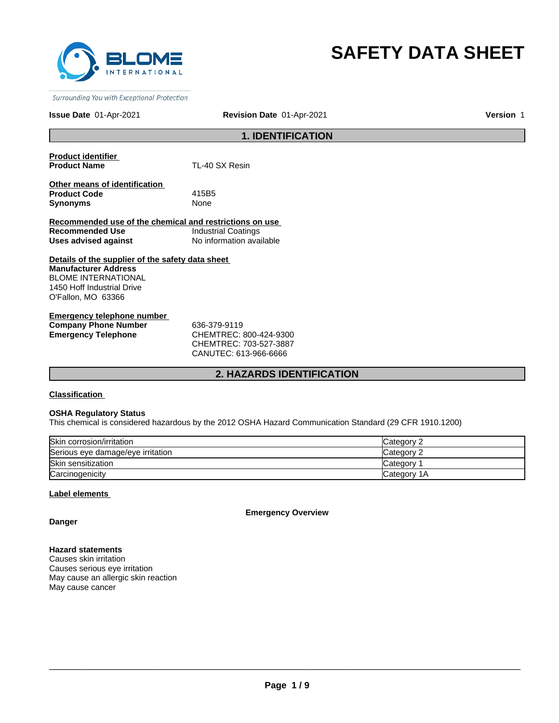

# **SAFETY DATA SHEET**

Surrounding You with Exceptional Protection

#### **Issue Date** 01-Apr-2021

**Revision Date** 01-Apr-2021 **Version** 1

# **1. IDENTIFICATION**

**Product identifier** 

**TL-40 SX Resin** 

**Other means of identification Product Code** 415B5 **Synonyms** None

**Recommended use of the chemical and restrictions on use Recommended Use Industrial Coatings<br>
Uses advised against Industrial No information ava Uses advised against** No information available

**Details of the supplier of the safety data sheet Manufacturer Address** BLOME INTERNATIONAL 1450 Hoff Industrial Drive O'Fallon, MO 63366

**Emergency telephone number Company Phone Number 636-379-9119<br>
<b>Emergency Telephone CHEMTREC:** 

**Emergency Telephone** CHEMTREC: 800-424-9300 CHEMTREC: 703-527-3887 CANUTEC: 613-966-6666

# **2. HAZARDS IDENTIFICATION**

**Classification** 

#### **OSHA Regulatory Status**

This chemical is considered hazardous by the 2012 OSHA Hazard Communication Standard (29 CFR 1910.1200)

| Skin corrosion/irritation         | Category 2   |
|-----------------------------------|--------------|
| Serious eye damage/eye irritation | Category 2   |
| Skin sensitization                | Category     |
| Carcinogenicity                   | lCategorv 1A |

#### **Label elements**

**Emergency Overview**

**Danger**

**Hazard statements**

Causes skin irritation Causes serious eye irritation May cause an allergic skin reaction May cause cancer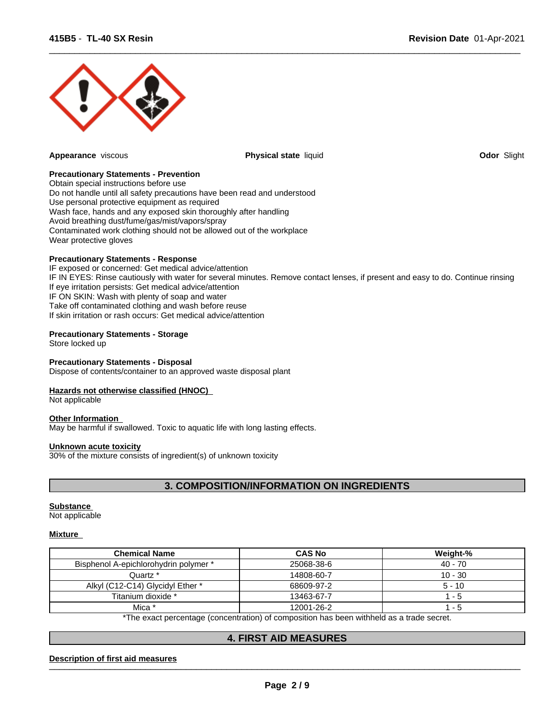

**Appearance** viscous **Physical state** liquid **Odor** Slight

 $\overline{\phantom{a}}$  ,  $\overline{\phantom{a}}$  ,  $\overline{\phantom{a}}$  ,  $\overline{\phantom{a}}$  ,  $\overline{\phantom{a}}$  ,  $\overline{\phantom{a}}$  ,  $\overline{\phantom{a}}$  ,  $\overline{\phantom{a}}$  ,  $\overline{\phantom{a}}$  ,  $\overline{\phantom{a}}$  ,  $\overline{\phantom{a}}$  ,  $\overline{\phantom{a}}$  ,  $\overline{\phantom{a}}$  ,  $\overline{\phantom{a}}$  ,  $\overline{\phantom{a}}$  ,  $\overline{\phantom{a}}$ 

#### **Precautionary Statements - Prevention**

Obtain special instructions before use Do not handle until all safety precautions have been read and understood Use personal protective equipment as required Wash face, hands and any exposed skin thoroughly after handling Avoid breathing dust/fume/gas/mist/vapors/spray Contaminated work clothing should not be allowed out of the workplace Wear protective gloves

#### **Precautionary Statements - Response**

IF exposed or concerned: Get medical advice/attention IF IN EYES: Rinse cautiously with water for several minutes. Remove contact lenses, if present and easy to do. Continue rinsing If eye irritation persists: Get medical advice/attention IF ON SKIN: Wash with plenty of soap and water Take off contaminated clothing and wash before reuse If skin irritation or rash occurs: Get medical advice/attention

#### **Precautionary Statements - Storage**

Store locked up

#### **Precautionary Statements - Disposal**

Dispose of contents/container to an approved waste disposal plant

#### **Hazards not otherwise classified (HNOC)**

Not applicable

#### **Other Information**

May be harmful if swallowed. Toxic to aquatic life with long lasting effects.

#### **Unknown acute toxicity**

30% of the mixture consists of ingredient(s) of unknown toxicity

# **3. COMPOSITION/INFORMATION ON INGREDIENTS**

#### **Substance**

Not applicable

#### **Mixture**

| <b>Chemical Name</b>                  | <b>CAS No</b>                                                                                            | Weight-%  |
|---------------------------------------|----------------------------------------------------------------------------------------------------------|-----------|
| Bisphenol A-epichlorohydrin polymer * | 25068-38-6                                                                                               | 40 - 70   |
| Quartz *                              | 14808-60-7                                                                                               | $10 - 30$ |
| Alkyl (C12-C14) Glycidyl Ether *      | 68609-97-2                                                                                               | $5 - 10$  |
| Titanium dioxide *                    | 13463-67-7                                                                                               | - 5       |
| Mica *                                | 12001-26-2                                                                                               | - 5       |
|                                       | W⊤b a concert a concerta de ferra contactiva) ef a concertible base base contibual des a tacada es conct |           |

The exact percentage (concentration) of composition has been withheld as a trade secret.

# **4. FIRST AID MEASURES**

#### Description of first aid measures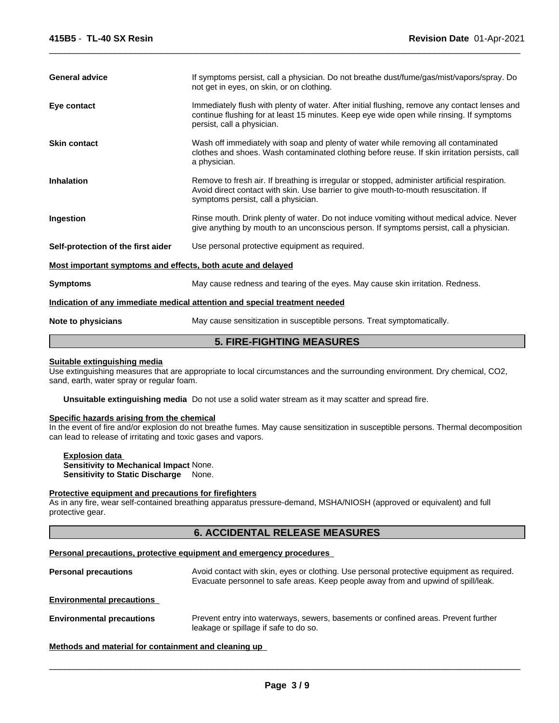| <b>General advice</b>                                                      | If symptoms persist, call a physician. Do not breathe dust/fume/gas/mist/vapors/spray. Do<br>not get in eyes, on skin, or on clothing.                                                                                       |  |  |
|----------------------------------------------------------------------------|------------------------------------------------------------------------------------------------------------------------------------------------------------------------------------------------------------------------------|--|--|
| Eye contact                                                                | Immediately flush with plenty of water. After initial flushing, remove any contact lenses and<br>continue flushing for at least 15 minutes. Keep eye wide open while rinsing. If symptoms<br>persist, call a physician.      |  |  |
| <b>Skin contact</b>                                                        | Wash off immediately with soap and plenty of water while removing all contaminated<br>clothes and shoes. Wash contaminated clothing before reuse. If skin irritation persists, call<br>a physician.                          |  |  |
| <b>Inhalation</b>                                                          | Remove to fresh air. If breathing is irregular or stopped, administer artificial respiration.<br>Avoid direct contact with skin. Use barrier to give mouth-to-mouth resuscitation. If<br>symptoms persist, call a physician. |  |  |
| Ingestion                                                                  | Rinse mouth. Drink plenty of water. Do not induce vomiting without medical advice. Never<br>give anything by mouth to an unconscious person. If symptoms persist, call a physician.                                          |  |  |
| Self-protection of the first aider                                         | Use personal protective equipment as required.                                                                                                                                                                               |  |  |
| Most important symptoms and effects, both acute and delayed                |                                                                                                                                                                                                                              |  |  |
| <b>Symptoms</b>                                                            | May cause redness and tearing of the eyes. May cause skin irritation. Redness.                                                                                                                                               |  |  |
| Indication of any immediate medical attention and special treatment needed |                                                                                                                                                                                                                              |  |  |
| Note to physicians                                                         | May cause sensitization in susceptible persons. Treat symptomatically.                                                                                                                                                       |  |  |

 $\overline{\phantom{a}}$  ,  $\overline{\phantom{a}}$  ,  $\overline{\phantom{a}}$  ,  $\overline{\phantom{a}}$  ,  $\overline{\phantom{a}}$  ,  $\overline{\phantom{a}}$  ,  $\overline{\phantom{a}}$  ,  $\overline{\phantom{a}}$  ,  $\overline{\phantom{a}}$  ,  $\overline{\phantom{a}}$  ,  $\overline{\phantom{a}}$  ,  $\overline{\phantom{a}}$  ,  $\overline{\phantom{a}}$  ,  $\overline{\phantom{a}}$  ,  $\overline{\phantom{a}}$  ,  $\overline{\phantom{a}}$ 

# **5. FIRE-FIGHTING MEASURES**

#### **Suitable extinguishing media**

Use extinguishing measures that are appropriate to local circumstances and the surrounding environment. Dry chemical, CO2, sand, earth, water spray or regular foam.

**Unsuitable extinguishing media** Do not use a solid water stream as it may scatter and spread fire.

#### **Specific hazards arising from the chemical**

In the event of fire and/or explosion do not breathe fumes. May cause sensitization in susceptible persons. Thermal decomposition can lead to release of irritating and toxic gases and vapors.

**Explosion data Sensitivity to Mechanical Impact** None. **Sensitivity to Static Discharge** None.

#### **Protective equipment and precautions for firefighters**

As in any fire, wear self-contained breathing apparatus pressure-demand, MSHA/NIOSH (approved or equivalent) and full protective gear.

# **6. ACCIDENTAL RELEASE MEASURES**

#### **Personal precautions, protective equipment and emergency procedures**

**Personal precautions** Avoid contact with skin, eyes or clothing. Use personal protective equipment as required. Evacuate personnel to safe areas. Keep people away from and upwind of spill/leak. **Environmental precautions Environmental precautions** Prevent entry into waterways, sewers, basements or confined areas. Prevent further

leakage or spillage if safe to do so.

 $\overline{\phantom{a}}$  ,  $\overline{\phantom{a}}$  ,  $\overline{\phantom{a}}$  ,  $\overline{\phantom{a}}$  ,  $\overline{\phantom{a}}$  ,  $\overline{\phantom{a}}$  ,  $\overline{\phantom{a}}$  ,  $\overline{\phantom{a}}$  ,  $\overline{\phantom{a}}$  ,  $\overline{\phantom{a}}$  ,  $\overline{\phantom{a}}$  ,  $\overline{\phantom{a}}$  ,  $\overline{\phantom{a}}$  ,  $\overline{\phantom{a}}$  ,  $\overline{\phantom{a}}$  ,  $\overline{\phantom{a}}$ 

**Methods and material for containment and cleaning up**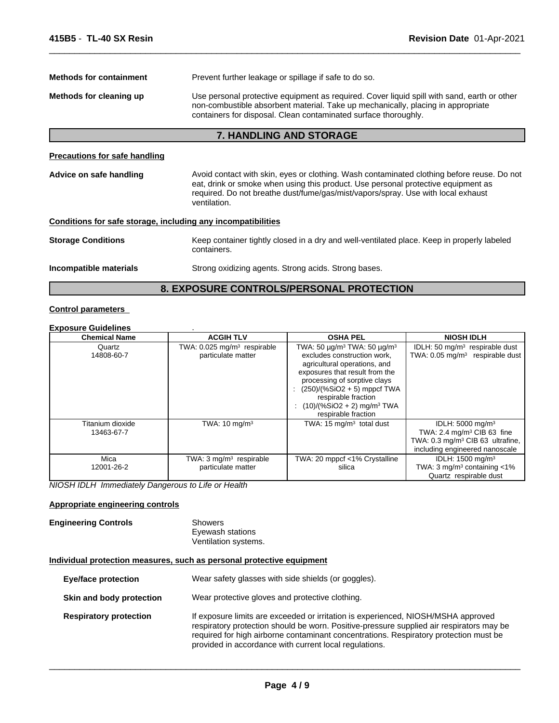| <b>Methods for containment</b>                               | Prevent further leakage or spillage if safe to do so.                                                                                                                                                                                                                               |  |  |
|--------------------------------------------------------------|-------------------------------------------------------------------------------------------------------------------------------------------------------------------------------------------------------------------------------------------------------------------------------------|--|--|
| Methods for cleaning up                                      | Use personal protective equipment as required. Cover liquid spill with sand, earth or other<br>non-combustible absorbent material. Take up mechanically, placing in appropriate<br>containers for disposal. Clean contaminated surface thoroughly.                                  |  |  |
|                                                              | <b>7. HANDLING AND STORAGE</b>                                                                                                                                                                                                                                                      |  |  |
| <b>Precautions for safe handling</b>                         |                                                                                                                                                                                                                                                                                     |  |  |
| Advice on safe handling                                      | Avoid contact with skin, eyes or clothing. Wash contaminated clothing before reuse. Do not<br>eat, drink or smoke when using this product. Use personal protective equipment as<br>required. Do not breathe dust/fume/gas/mist/vapors/spray. Use with local exhaust<br>ventilation. |  |  |
| Conditions for safe storage, including any incompatibilities |                                                                                                                                                                                                                                                                                     |  |  |
| <b>Storage Conditions</b>                                    | Keep container tightly closed in a dry and well-ventilated place. Keep in properly labeled<br>containers.                                                                                                                                                                           |  |  |
| Incompatible materials                                       | Strong oxidizing agents. Strong acids. Strong bases.                                                                                                                                                                                                                                |  |  |

# **8. EXPOSURE CONTROLS/PERSONAL PROTECTION**

# **Control parameters**

| <b>Exposure Guidelines</b>     |                                                                 |                                                                                                                                                                                                                                                                                                                           |                                                                                                                                                         |
|--------------------------------|-----------------------------------------------------------------|---------------------------------------------------------------------------------------------------------------------------------------------------------------------------------------------------------------------------------------------------------------------------------------------------------------------------|---------------------------------------------------------------------------------------------------------------------------------------------------------|
| <b>Chemical Name</b>           | <b>ACGIH TLV</b>                                                | <b>OSHA PEL</b>                                                                                                                                                                                                                                                                                                           | <b>NIOSH IDLH</b>                                                                                                                                       |
| Quartz<br>14808-60-7           | TWA: $0.025$ mg/m <sup>3</sup> respirable<br>particulate matter | TWA: 50 $\mu$ g/m <sup>3</sup> TWA: 50 $\mu$ g/m <sup>3</sup><br>excludes construction work.<br>agricultural operations, and<br>exposures that result from the<br>processing of sorptive clays<br>$(250)/(%SiO2 + 5)$ mppcf TWA<br>respirable fraction<br>$(10)/(%SiO2 + 2)$ mg/m <sup>3</sup> TWA<br>respirable fraction | IDLH: 50 $mg/m3$ respirable dust<br>TWA: $0.05 \text{ mg/m}^3$ respirable dust                                                                          |
| Titanium dioxide<br>13463-67-7 | TWA: $10 \text{ mg/m}^3$                                        | TWA: $15 \text{ mg/m}^3$ total dust                                                                                                                                                                                                                                                                                       | IDLH: $5000 \text{ mg/m}^3$<br>TWA: 2.4 mg/m <sup>3</sup> CIB 63 fine<br>TWA: 0.3 mg/m <sup>3</sup> CIB 63 ultrafine,<br>including engineered nanoscale |
| Mica<br>12001-26-2             | TWA: $3 \text{ mg/m}^3$ respirable<br>particulate matter        | TWA: 20 mppcf <1% Crystalline<br>silica                                                                                                                                                                                                                                                                                   | IDLH: 1500 mg/m <sup>3</sup><br>TWA: $3 \text{ mq/m}^3$ containing <1%<br>Quartz respirable dust                                                        |

*NIOSH IDLH Immediately Dangerous to Life or Health*

#### **Appropriate engineering controls**

#### **Engineering Controls** Showers Eyewash stations Ventilation systems.

# **Individual protection measures, such as personal protective equipment**

| <b>Eye/face protection</b>    | Wear safety glasses with side shields (or goggles).                                                                                                                                                                                                                                                                              |
|-------------------------------|----------------------------------------------------------------------------------------------------------------------------------------------------------------------------------------------------------------------------------------------------------------------------------------------------------------------------------|
| Skin and body protection      | Wear protective gloves and protective clothing.                                                                                                                                                                                                                                                                                  |
| <b>Respiratory protection</b> | If exposure limits are exceeded or irritation is experienced, NIOSH/MSHA approved<br>respiratory protection should be worn. Positive-pressure supplied air respirators may be<br>required for high airborne contaminant concentrations. Respiratory protection must be<br>provided in accordance with current local regulations. |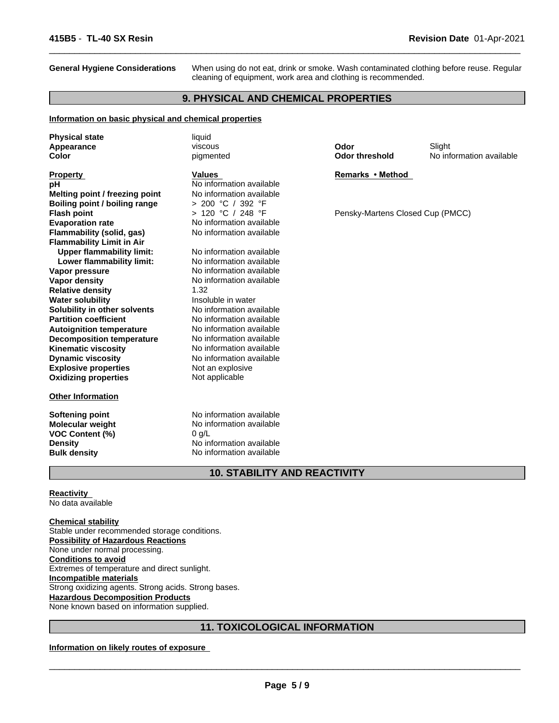**General Hygiene Considerations** When using do not eat, drink or smoke. Wash contaminated clothing before reuse. Regular cleaning of equipment, work area and clothing is recommended.

 $\overline{\phantom{a}}$  ,  $\overline{\phantom{a}}$  ,  $\overline{\phantom{a}}$  ,  $\overline{\phantom{a}}$  ,  $\overline{\phantom{a}}$  ,  $\overline{\phantom{a}}$  ,  $\overline{\phantom{a}}$  ,  $\overline{\phantom{a}}$  ,  $\overline{\phantom{a}}$  ,  $\overline{\phantom{a}}$  ,  $\overline{\phantom{a}}$  ,  $\overline{\phantom{a}}$  ,  $\overline{\phantom{a}}$  ,  $\overline{\phantom{a}}$  ,  $\overline{\phantom{a}}$  ,  $\overline{\phantom{a}}$ 

#### **9. PHYSICAL AND CHEMICAL PROPERTIES**

#### **Information on basic physical and chemical properties**

| <b>Physical state</b><br>Appearance<br>Color                   | liquid<br>viscous<br>pigmented                       | Odor<br><b>Odor threshold</b>    | Slight<br>No information available |
|----------------------------------------------------------------|------------------------------------------------------|----------------------------------|------------------------------------|
| <b>Property</b>                                                | <b>Values</b>                                        | Remarks • Method                 |                                    |
| рH                                                             | No information available                             |                                  |                                    |
| Melting point / freezing point                                 | No information available                             |                                  |                                    |
| Boiling point / boiling range                                  | > 200 °C / 392 °F                                    |                                  |                                    |
| <b>Flash point</b>                                             | > 120 °C / 248 °F                                    | Pensky-Martens Closed Cup (PMCC) |                                    |
| <b>Evaporation rate</b>                                        | No information available                             |                                  |                                    |
| Flammability (solid, gas)                                      | No information available                             |                                  |                                    |
| <b>Flammability Limit in Air</b>                               |                                                      |                                  |                                    |
| <b>Upper flammability limit:</b>                               | No information available                             |                                  |                                    |
| Lower flammability limit:                                      | No information available                             |                                  |                                    |
| Vapor pressure                                                 | No information available                             |                                  |                                    |
| <b>Vapor density</b>                                           | No information available                             |                                  |                                    |
| <b>Relative density</b>                                        | 1.32                                                 |                                  |                                    |
| <b>Water solubility</b>                                        | Insoluble in water                                   |                                  |                                    |
| Solubility in other solvents                                   | No information available                             |                                  |                                    |
| <b>Partition coefficient</b>                                   | No information available                             |                                  |                                    |
| <b>Autoignition temperature</b>                                | No information available<br>No information available |                                  |                                    |
| <b>Decomposition temperature</b><br><b>Kinematic viscosity</b> | No information available                             |                                  |                                    |
| <b>Dynamic viscosity</b>                                       | No information available                             |                                  |                                    |
| <b>Explosive properties</b>                                    | Not an explosive                                     |                                  |                                    |
| <b>Oxidizing properties</b>                                    | Not applicable                                       |                                  |                                    |
|                                                                |                                                      |                                  |                                    |
| <b>Other Information</b>                                       |                                                      |                                  |                                    |
| <b>Softening point</b>                                         | No information available                             |                                  |                                    |
| <b>Molecular weight</b>                                        | No information available                             |                                  |                                    |
| <b>VOC Content (%)</b>                                         | $0$ g/L                                              |                                  |                                    |
| <b>Density</b>                                                 | No information available                             |                                  |                                    |
| <b>Bulk density</b>                                            | No information available                             |                                  |                                    |
|                                                                | <b>10. STABILITY AND REACTIVITY</b>                  |                                  |                                    |

#### **Reactivity**

No data available

**Chemical stability** Stable under recommended storage conditions. **Possibility of Hazardous Reactions** None under normal processing. **Conditions to avoid** Extremes of temperature and direct sunlight. **Incompatible materials** Strong oxidizing agents. Strong acids. Strong bases. **Hazardous Decomposition Products** None known based on information supplied.

# **11. TOXICOLOGICAL INFORMATION**

#### **Information on likely routes of exposure**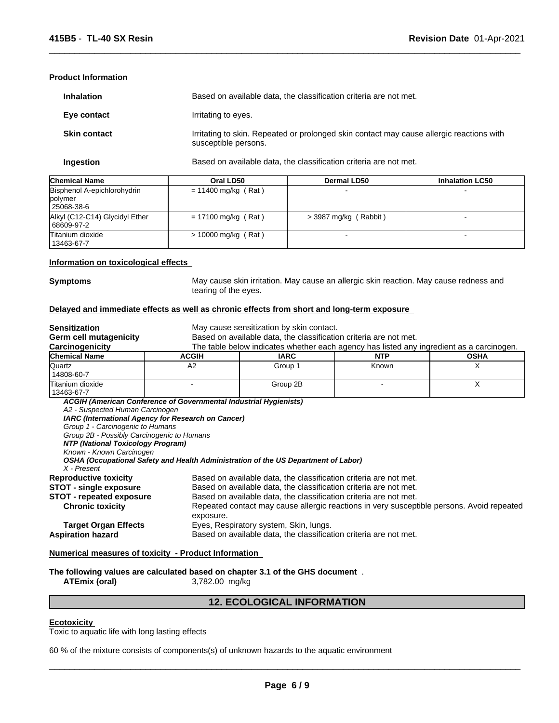#### **Product Information**

| <b>Inhalation</b>   | Based on available data, the classification criteria are not met.                                                |
|---------------------|------------------------------------------------------------------------------------------------------------------|
| Eye contact         | Irritating to eyes.                                                                                              |
| <b>Skin contact</b> | Irritating to skin. Repeated or prolonged skin contact may cause allergic reactions with<br>susceptible persons. |

**Ingestion** Based on available data, the classification criteria are not met.

 $\overline{\phantom{a}}$  ,  $\overline{\phantom{a}}$  ,  $\overline{\phantom{a}}$  ,  $\overline{\phantom{a}}$  ,  $\overline{\phantom{a}}$  ,  $\overline{\phantom{a}}$  ,  $\overline{\phantom{a}}$  ,  $\overline{\phantom{a}}$  ,  $\overline{\phantom{a}}$  ,  $\overline{\phantom{a}}$  ,  $\overline{\phantom{a}}$  ,  $\overline{\phantom{a}}$  ,  $\overline{\phantom{a}}$  ,  $\overline{\phantom{a}}$  ,  $\overline{\phantom{a}}$  ,  $\overline{\phantom{a}}$ 

| <b>Chemical Name</b>                                   | Oral LD50             | <b>Dermal LD50</b>    | <b>Inhalation LC50</b> |
|--------------------------------------------------------|-----------------------|-----------------------|------------------------|
| Bisphenol A-epichlorohydrin<br>polymer<br>l 25068-38-6 | $= 11400$ mg/kg (Rat) |                       |                        |
| Alkyl (C12-C14) Glycidyl Ether<br>  68609-97-2         | $= 17100$ mg/kg (Rat) | > 3987 mg/kg (Rabbit) |                        |
| Titanium dioxide<br>13463-67-7                         | $> 10000$ mg/kg (Rat) |                       |                        |

#### **Information on toxicological effects**

**Symptoms** May cause skin irritation. May cause an allergic skin reaction. May cause redness and tearing of the eyes.

#### **Delayed and immediate effects as well as chronic effects from short and long-term exposure**

| <b>Sensitization</b><br>Germ cell mutagenicity<br>Carcinogenicity                                                                                                                                 |                                                                                                             | May cause sensitization by skin contact.<br>Based on available data, the classification criteria are not met.<br>The table below indicates whether each agency has listed any ingredient as a carcinogen.                                                                                                |            |             |  |
|---------------------------------------------------------------------------------------------------------------------------------------------------------------------------------------------------|-------------------------------------------------------------------------------------------------------------|----------------------------------------------------------------------------------------------------------------------------------------------------------------------------------------------------------------------------------------------------------------------------------------------------------|------------|-------------|--|
| <b>Chemical Name</b>                                                                                                                                                                              | <b>ACGIH</b>                                                                                                | <b>IARC</b>                                                                                                                                                                                                                                                                                              | <b>NTP</b> | <b>OSHA</b> |  |
| Quartz<br>14808-60-7                                                                                                                                                                              | A2                                                                                                          | Group 1                                                                                                                                                                                                                                                                                                  | Known      | X           |  |
| Titanium dioxide<br>13463-67-7                                                                                                                                                                    |                                                                                                             | Group 2B                                                                                                                                                                                                                                                                                                 |            | X           |  |
| A2 - Suspected Human Carcinogen<br>Group 1 - Carcinogenic to Humans<br>Group 2B - Possibly Carcinogenic to Humans<br>NTP (National Toxicology Program)<br>Known - Known Carcinogen<br>X - Present | IARC (International Agency for Research on Cancer)                                                          | OSHA (Occupational Safety and Health Administration of the US Department of Labor)                                                                                                                                                                                                                       |            |             |  |
| <b>Reproductive toxicity</b><br><b>STOT - single exposure</b><br><b>STOT - repeated exposure</b><br><b>Chronic toxicity</b>                                                                       | exposure.                                                                                                   | Based on available data, the classification criteria are not met.<br>Based on available data, the classification criteria are not met.<br>Based on available data, the classification criteria are not met.<br>Repeated contact may cause allergic reactions in very susceptible persons. Avoid repeated |            |             |  |
| <b>Target Organ Effects</b><br><b>Aspiration hazard</b>                                                                                                                                           | Eyes, Respiratory system, Skin, lungs.<br>Based on available data, the classification criteria are not met. |                                                                                                                                                                                                                                                                                                          |            |             |  |

#### **Numerical measures of toxicity - Product Information**

**The following values are calculated based on chapter 3.1 of the GHS document** .

**ATEmix (oral)** 3,782.00 mg/kg

### **12. ECOLOGICAL INFORMATION**

#### **Ecotoxicity**

Toxic to aquatic life with long lasting effects

60 % of the mixture consists of components(s) of unknown hazards to the aquatic environment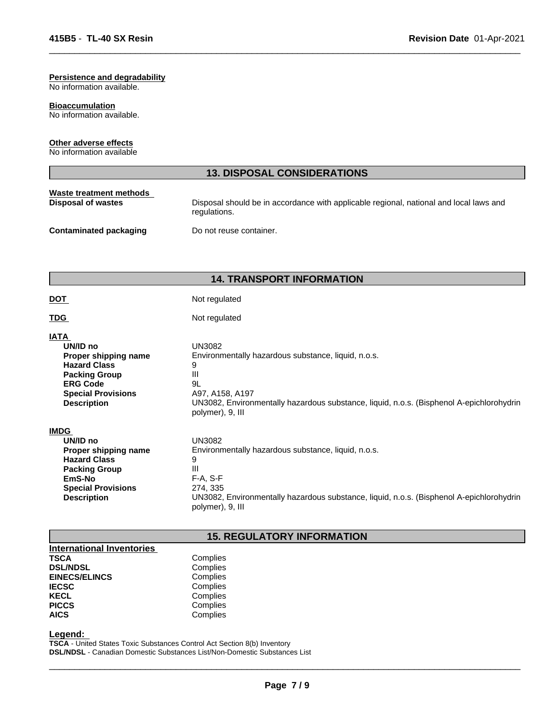### **Persistence and degradability**

No information available.

#### **Bioaccumulation**

No information available.

#### **Other adverse effects**

No information available

# **13. DISPOSAL CONSIDERATIONS Waste treatment methods Disposal of wastes Disposal should be in accordance with applicable regional, national and local laws and <b>Disposal should be in accordance with applicable regional, national and local laws and** regulations. **Contaminated packaging Do not reuse container.**

 $\overline{\phantom{a}}$  ,  $\overline{\phantom{a}}$  ,  $\overline{\phantom{a}}$  ,  $\overline{\phantom{a}}$  ,  $\overline{\phantom{a}}$  ,  $\overline{\phantom{a}}$  ,  $\overline{\phantom{a}}$  ,  $\overline{\phantom{a}}$  ,  $\overline{\phantom{a}}$  ,  $\overline{\phantom{a}}$  ,  $\overline{\phantom{a}}$  ,  $\overline{\phantom{a}}$  ,  $\overline{\phantom{a}}$  ,  $\overline{\phantom{a}}$  ,  $\overline{\phantom{a}}$  ,  $\overline{\phantom{a}}$ 

#### **14. TRANSPORT INFORMATION**

**DOT** Not regulated

**TDG** Not regulated

| IATA                      |                                                                                                              |
|---------------------------|--------------------------------------------------------------------------------------------------------------|
| UN/ID no                  | UN3082                                                                                                       |
| Proper shipping name      | Environmentally hazardous substance, liquid, n.o.s.                                                          |
| <b>Hazard Class</b>       | 9                                                                                                            |
| <b>Packing Group</b>      | Ш                                                                                                            |
| <b>ERG Code</b>           | 9L                                                                                                           |
| <b>Special Provisions</b> | A97, A158, A197                                                                                              |
| <b>Description</b>        | UN3082, Environmentally hazardous substance, liquid, n.o.s. (Bisphenol A-epichlorohydrin<br>polymer), 9, III |
| <b>IMDG</b>               |                                                                                                              |
| UN/ID no                  | UN3082                                                                                                       |
| Proper shipping name      | Environmentally hazardous substance, liquid, n.o.s.                                                          |
| <b>Hazard Class</b>       | 9                                                                                                            |
| <b>Packing Group</b>      | Ш                                                                                                            |
| EmS-No                    | $F-A. S-F$                                                                                                   |
| <b>Special Provisions</b> | 274, 335                                                                                                     |
| <b>Description</b>        | UN3082, Environmentally hazardous substance, liquid, n.o.s. (Bisphenol A-epichlorohydrin<br>polymer), 9, III |

### **15. REGULATORY INFORMATION**

**International Inventories TSCA** Complies<br>DSL/NDSL Complies **DSL/NDSL**<br> **EINECS/ELINCS**Complies **EINECS/ELINCS**<br>IECSC **IECSC** Complies<br> **IECSC** Complies **KECL Complies**<br> **PICCS** Complies **AICS** Complies

**Complies** 

# **Legend:**

**TSCA** - United States Toxic Substances Control Act Section 8(b) Inventory **DSL/NDSL** - Canadian Domestic Substances List/Non-Domestic Substances List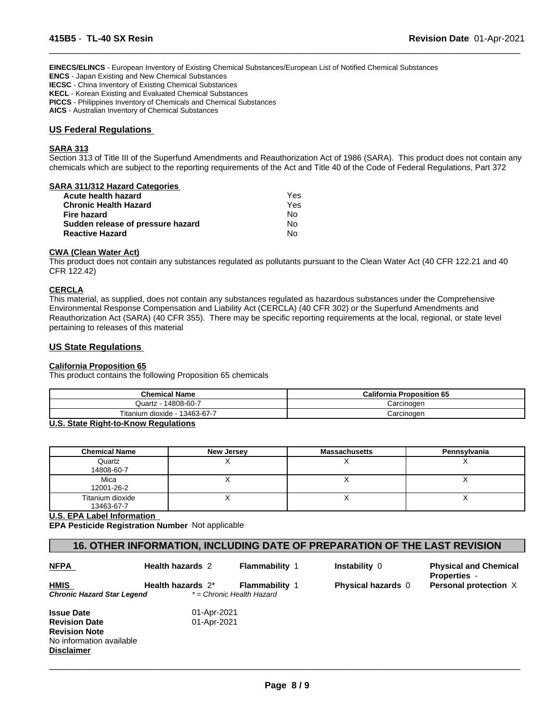**EINECS/ELINCS** - European Inventory of Existing Chemical Substances/European List of Notified Chemical Substances

**ENCS** - Japan Existing and New Chemical Substances

**IECSC** - China Inventory of Existing Chemical Substances

**KECL** - Korean Existing and Evaluated Chemical Substances

**PICCS** - Philippines Inventory of Chemicals and Chemical Substances

**AICS** - Australian Inventory of Chemical Substances

#### **US Federal Regulations**

#### **SARA 313**

Section 313 of Title III of the Superfund Amendments and Reauthorization Act of 1986 (SARA). This product does not contain any chemicals which are subject to the reporting requirements of the Act and Title 40 of the Code of Federal Regulations, Part 372

 $\overline{\phantom{a}}$  ,  $\overline{\phantom{a}}$  ,  $\overline{\phantom{a}}$  ,  $\overline{\phantom{a}}$  ,  $\overline{\phantom{a}}$  ,  $\overline{\phantom{a}}$  ,  $\overline{\phantom{a}}$  ,  $\overline{\phantom{a}}$  ,  $\overline{\phantom{a}}$  ,  $\overline{\phantom{a}}$  ,  $\overline{\phantom{a}}$  ,  $\overline{\phantom{a}}$  ,  $\overline{\phantom{a}}$  ,  $\overline{\phantom{a}}$  ,  $\overline{\phantom{a}}$  ,  $\overline{\phantom{a}}$ 

#### **SARA 311/312 Hazard Categories**

| Acute health hazard               | Yes |
|-----------------------------------|-----|
| <b>Chronic Health Hazard</b>      | Yes |
| <b>Fire hazard</b>                | N٥  |
| Sudden release of pressure hazard | No. |
| <b>Reactive Hazard</b>            | N٥  |

#### **CWA (Clean Water Act)**

This product does not contain any substances regulated as pollutants pursuant to the Clean Water Act (40 CFR 122.21 and 40 CFR 122.42)

#### **CERCLA**

This material, as supplied, does not contain any substances regulated as hazardous substances under the Comprehensive Environmental Response Compensation and Liability Act (CERCLA) (40 CFR 302) or the Superfund Amendments and Reauthorization Act (SARA) (40 CFR 355). There may be specific reporting requirements at the local, regional, or state level pertaining to releases of this material

#### **US State Regulations**

#### **California Proposition 65**

This product contains the following Proposition 65 chemicals

| <b>Chemical Name</b>                  | <b>California Proposition 65</b> |
|---------------------------------------|----------------------------------|
| 14808-60-7<br>Quartz                  | Carcinogen                       |
| Titanium<br>13463-67-7<br>, dioxide - | Carcinogen                       |

#### **U.S. State Right-to-Know Regulations**

| <b>Chemical Name</b>           | New Jersey | <b>Massachusetts</b> | Pennsylvania |
|--------------------------------|------------|----------------------|--------------|
| Quartz<br>14808-60-7           |            |                      |              |
| Mica<br>12001-26-2             |            |                      |              |
| Titanium dioxide<br>13463-67-7 |            |                      |              |

**U.S. EPA Label Information** 

**Disclaimer**

**EPA Pesticide Registration Number** Not applicable

# **16. OTHER INFORMATION, INCLUDING DATE OF PREPARATION OF THE LAST REVISION**

| <b>NFPA</b>                | <b>Health hazards 2</b> | <b>Flammability 1</b>     | <b>Instability 0</b>      | <b>Physical and Chemical</b><br><b>Properties -</b> |
|----------------------------|-------------------------|---------------------------|---------------------------|-----------------------------------------------------|
| <b>HMIS</b>                | Health hazards 2*       | <b>Flammability 1</b>     | <b>Physical hazards</b> 0 | Personal protection X                               |
| Chronic Hazard Star Legend |                         | * = Chronic Health Hazard |                           |                                                     |
| <b>Issue Date</b>          | 01-Apr-2021             |                           |                           |                                                     |
| <b>Revision Date</b>       | 01-Apr-2021             |                           |                           |                                                     |
| <b>Revision Note</b>       |                         |                           |                           |                                                     |
| No information available   |                         |                           |                           |                                                     |